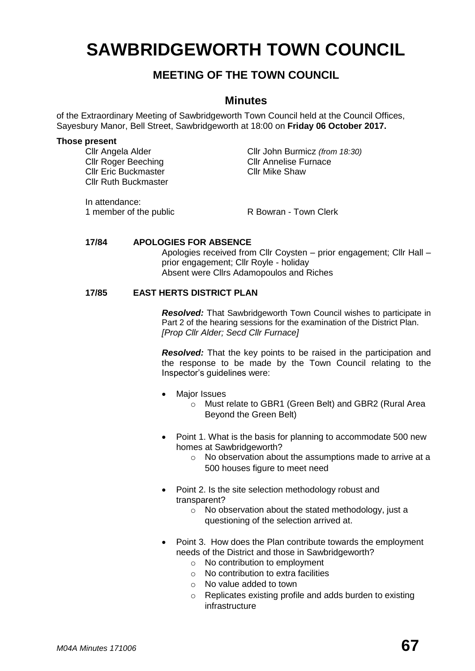# **SAWBRIDGEWORTH TOWN COUNCIL**

# **MEETING OF THE TOWN COUNCIL**

# **Minutes**

of the Extraordinary Meeting of Sawbridgeworth Town Council held at the Council Offices, Sayesbury Manor, Bell Street, Sawbridgeworth at 18:00 on **Friday 06 October 2017.**

#### **Those present**

Cllr Angela Alder Cllr John Burmicz *(from 18:30)* **Cllr Roger Beeching Cllr Annelise Furnace** Cllr Ruth Buckmaster

Cllr Eric Buckmaster Cllr Mike Shaw

In attendance:

1 member of the public R Bowran - Town Clerk

#### **17/84 APOLOGIES FOR ABSENCE**

Apologies received from Cllr Coysten – prior engagement; Cllr Hall – prior engagement; Cllr Royle - holiday Absent were Cllrs Adamopoulos and Riches

## **17/85 EAST HERTS DISTRICT PLAN**

*Resolved:* That Sawbridgeworth Town Council wishes to participate in Part 2 of the hearing sessions for the examination of the District Plan. *[Prop Cllr Alder; Secd Cllr Furnace]*

*Resolved:* That the key points to be raised in the participation and the response to be made by the Town Council relating to the Inspector's guidelines were:

- Maior Issues
	- o Must relate to GBR1 (Green Belt) and GBR2 (Rural Area Beyond the Green Belt)
- Point 1. What is the basis for planning to accommodate 500 new homes at Sawbridgeworth?
	- o No observation about the assumptions made to arrive at a 500 houses figure to meet need
- Point 2. Is the site selection methodology robust and transparent?
	- o No observation about the stated methodology, just a questioning of the selection arrived at.
- Point 3. How does the Plan contribute towards the employment needs of the District and those in Sawbridgeworth?
	- o No contribution to employment
	- $\circ$  No contribution to extra facilities
	- o No value added to town
	- o Replicates existing profile and adds burden to existing infrastructure